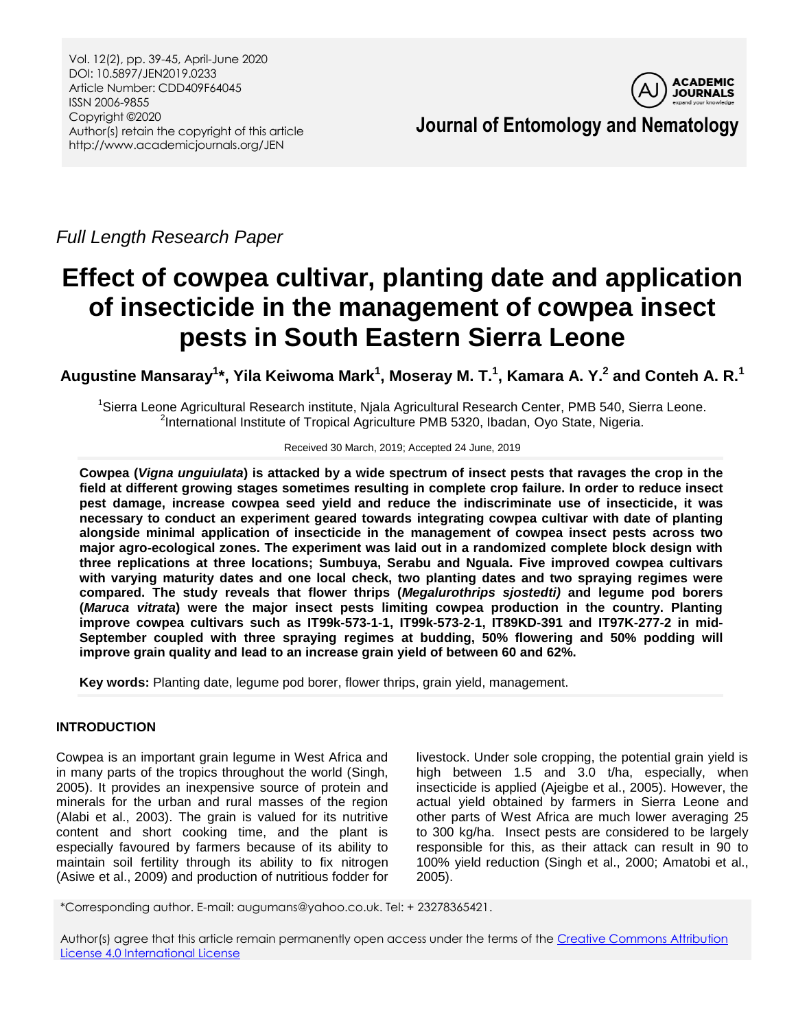

**Journal of Entomology and Nematology**

*Full Length Research Paper*

# **Effect of cowpea cultivar, planting date and application of insecticide in the management of cowpea insect pests in South Eastern Sierra Leone**

Augustine Mansaray<sup>1</sup>\*, Yila Keiwoma Mark<sup>1</sup>, Moseray M. T.<sup>1</sup>, Kamara A. Y.<sup>2</sup> and Conteh A. R.<sup>1</sup>

<sup>1</sup>Sierra Leone Agricultural Research institute, Njala Agricultural Research Center, PMB 540, Sierra Leone. <sup>2</sup>International Institute of Tropical Agriculture PMB 5320, Ibadan, Oyo State, Nigeria.

## Received 30 March, 2019; Accepted 24 June, 2019

**Cowpea (***Vigna unguiulata***) is attacked by a wide spectrum of insect pests that ravages the crop in the field at different growing stages sometimes resulting in complete crop failure. In order to reduce insect pest damage, increase cowpea seed yield and reduce the indiscriminate use of insecticide, it was necessary to conduct an experiment geared towards integrating cowpea cultivar with date of planting alongside minimal application of insecticide in the management of cowpea insect pests across two major agro-ecological zones. The experiment was laid out in a randomized complete block design with three replications at three locations; Sumbuya, Serabu and Nguala. Five improved cowpea cultivars with varying maturity dates and one local check, two planting dates and two spraying regimes were compared. The study reveals that flower thrips (***Megalurothrips sjostedti)* **and legume pod borers (***Maruca vitrata***) were the major insect pests limiting cowpea production in the country. Planting improve cowpea cultivars such as IT99k-573-1-1, IT99k-573-2-1, IT89KD-391 and IT97K-277-2 in mid-September coupled with three spraying regimes at budding, 50% flowering and 50% podding will improve grain quality and lead to an increase grain yield of between 60 and 62%.**

**Key words:** Planting date, legume pod borer, flower thrips, grain yield, management.

# **INTRODUCTION**

Cowpea is an important grain legume in West Africa and in many parts of the tropics throughout the world (Singh, 2005). It provides an inexpensive source of protein and minerals for the urban and rural masses of the region (Alabi et al., 2003). The grain is valued for its nutritive content and short cooking time, and the plant is especially favoured by farmers because of its ability to maintain soil fertility through its ability to fix nitrogen (Asiwe et al., 2009) and production of nutritious fodder for

livestock. Under sole cropping, the potential grain yield is high between 1.5 and 3.0 t/ha, especially, when insecticide is applied (Ajeigbe et al., 2005). However, the actual yield obtained by farmers in Sierra Leone and other parts of West Africa are much lower averaging 25 to 300 kg/ha. Insect pests are considered to be largely responsible for this, as their attack can result in 90 to 100% yield reduction (Singh et al., 2000; Amatobi et al., 2005).

\*Corresponding author. E-mail: augumans@yahoo.co.uk. Tel: + 23278365421.

Author(s) agree that this article remain permanently open access under the terms of th[e Creative Commons Attribution](http://creativecommons.org/licenses/by/4.0/deed.en_US)  [License 4.0 International License](http://creativecommons.org/licenses/by/4.0/deed.en_US)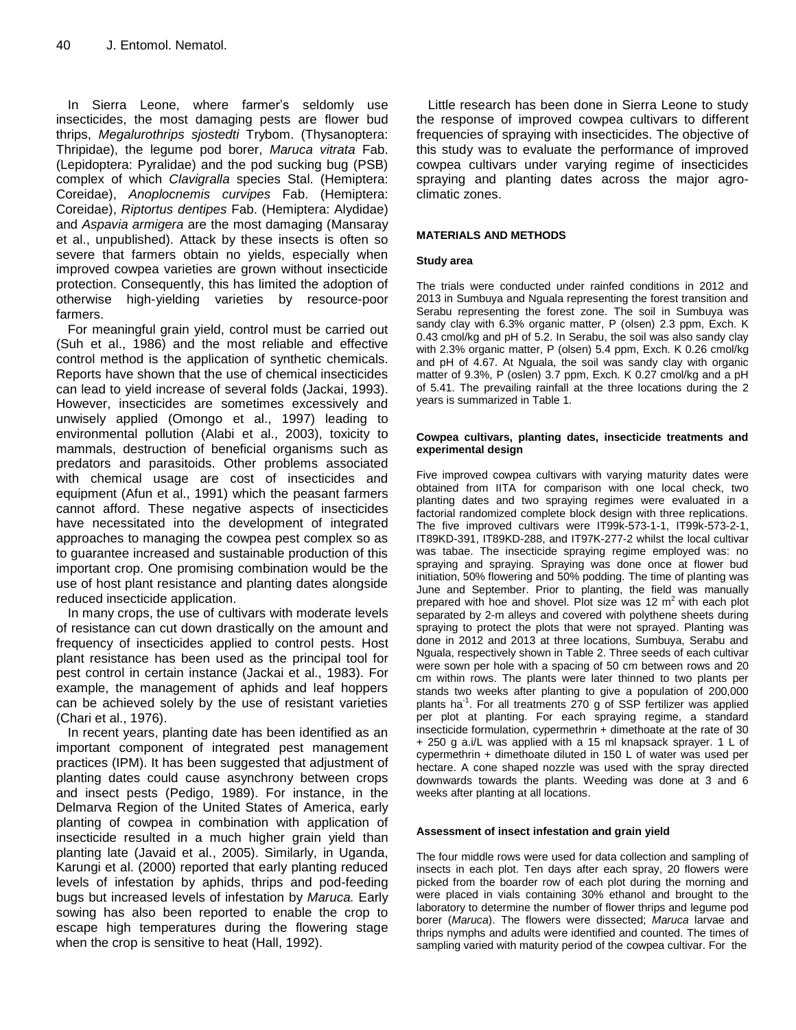In Sierra Leone, where farmer's seldomly use insecticides, the most damaging pests are flower bud thrips, *Megalurothrips sjostedti* Trybom. (Thysanoptera: Thripidae), the legume pod borer, *Maruca vitrata* Fab. (Lepidoptera: Pyralidae) and the pod sucking bug (PSB) complex of which *Clavigralla* species Stal. (Hemiptera: Coreidae), *Anoplocnemis curvipes* Fab. (Hemiptera: Coreidae), *Riptortus dentipes* Fab. (Hemiptera: Alydidae) and *Aspavia armigera* are the most damaging (Mansaray et al., unpublished). Attack by these insects is often so severe that farmers obtain no yields, especially when improved cowpea varieties are grown without insecticide protection. Consequently, this has limited the adoption of otherwise high-yielding varieties by resource-poor farmers.

For meaningful grain yield, control must be carried out (Suh et al., 1986) and the most reliable and effective control method is the application of synthetic chemicals. Reports have shown that the use of chemical insecticides can lead to yield increase of several folds (Jackai, 1993). However, insecticides are sometimes excessively and unwisely applied (Omongo et al., 1997) leading to environmental pollution (Alabi et al., 2003), toxicity to mammals, destruction of beneficial organisms such as predators and parasitoids. Other problems associated with chemical usage are cost of insecticides and equipment (Afun et al., 1991) which the peasant farmers cannot afford. These negative aspects of insecticides have necessitated into the development of integrated approaches to managing the cowpea pest complex so as to guarantee increased and sustainable production of this important crop. One promising combination would be the use of host plant resistance and planting dates alongside reduced insecticide application.

In many crops, the use of cultivars with moderate levels of resistance can cut down drastically on the amount and frequency of insecticides applied to control pests. Host plant resistance has been used as the principal tool for pest control in certain instance (Jackai et al., 1983). For example, the management of aphids and leaf hoppers can be achieved solely by the use of resistant varieties (Chari et al., 1976).

In recent years, planting date has been identified as an important component of integrated pest management practices (IPM). It has been suggested that adjustment of planting dates could cause asynchrony between crops and insect pests (Pedigo, 1989). For instance, in the Delmarva Region of the United States of America, early planting of cowpea in combination with application of insecticide resulted in a much higher grain yield than planting late (Javaid et al., 2005). Similarly, in Uganda, Karungi et al. (2000) reported that early planting reduced levels of infestation by aphids, thrips and pod-feeding bugs but increased levels of infestation by *Maruca.* Early sowing has also been reported to enable the crop to escape high temperatures during the flowering stage when the crop is sensitive to heat (Hall, 1992).

Little research has been done in Sierra Leone to study the response of improved cowpea cultivars to different frequencies of spraying with insecticides. The objective of this study was to evaluate the performance of improved cowpea cultivars under varying regime of insecticides spraying and planting dates across the major agroclimatic zones.

## **MATERIALS AND METHODS**

#### **Study area**

The trials were conducted under rainfed conditions in 2012 and 2013 in Sumbuya and Nguala representing the forest transition and Serabu representing the forest zone. The soil in Sumbuya was sandy clay with 6.3% organic matter, P (olsen) 2.3 ppm, Exch. K 0.43 cmol/kg and pH of 5.2. In Serabu, the soil was also sandy clay with 2.3% organic matter, P (olsen) 5.4 ppm, Exch. K 0.26 cmol/kg and pH of 4.67. At Nguala, the soil was sandy clay with organic matter of 9.3%, P (oslen) 3.7 ppm, Exch. K 0.27 cmol/kg and a pH of 5.41. The prevailing rainfall at the three locations during the 2 years is summarized in Table 1.

#### **Cowpea cultivars, planting dates, insecticide treatments and experimental design**

Five improved cowpea cultivars with varying maturity dates were obtained from IITA for comparison with one local check, two planting dates and two spraying regimes were evaluated in a factorial randomized complete block design with three replications. The five improved cultivars were IT99k-573-1-1, IT99k-573-2-1, IT89KD-391, IT89KD-288, and IT97K-277-2 whilst the local cultivar was tabae. The insecticide spraying regime employed was: no spraying and spraying. Spraying was done once at flower bud initiation, 50% flowering and 50% podding. The time of planting was June and September. Prior to planting, the field was manually prepared with hoe and shovel. Plot size was 12 m<sup>2</sup> with each plot separated by 2-m alleys and covered with polythene sheets during spraying to protect the plots that were not sprayed. Planting was done in 2012 and 2013 at three locations, Sumbuya, Serabu and Nguala, respectively shown in Table 2. Three seeds of each cultivar were sown per hole with a spacing of 50 cm between rows and 20 cm within rows. The plants were later thinned to two plants per stands two weeks after planting to give a population of 200,000 plants ha<sup>-1</sup>. For all treatments 270 g of SSP fertilizer was applied per plot at planting. For each spraying regime, a standard insecticide formulation, cypermethrin + dimethoate at the rate of 30 + 250 g a.i/L was applied with a 15 ml knapsack sprayer. 1 L of cypermethrin + dimethoate diluted in 150 L of water was used per hectare. A cone shaped nozzle was used with the spray directed downwards towards the plants. Weeding was done at 3 and 6 weeks after planting at all locations.

#### **Assessment of insect infestation and grain yield**

The four middle rows were used for data collection and sampling of insects in each plot. Ten days after each spray, 20 flowers were picked from the boarder row of each plot during the morning and were placed in vials containing 30% ethanol and brought to the laboratory to determine the number of flower thrips and legume pod borer (*Maruca*). The flowers were dissected; *Maruca* larvae and thrips nymphs and adults were identified and counted. The times of sampling varied with maturity period of the cowpea cultivar. For the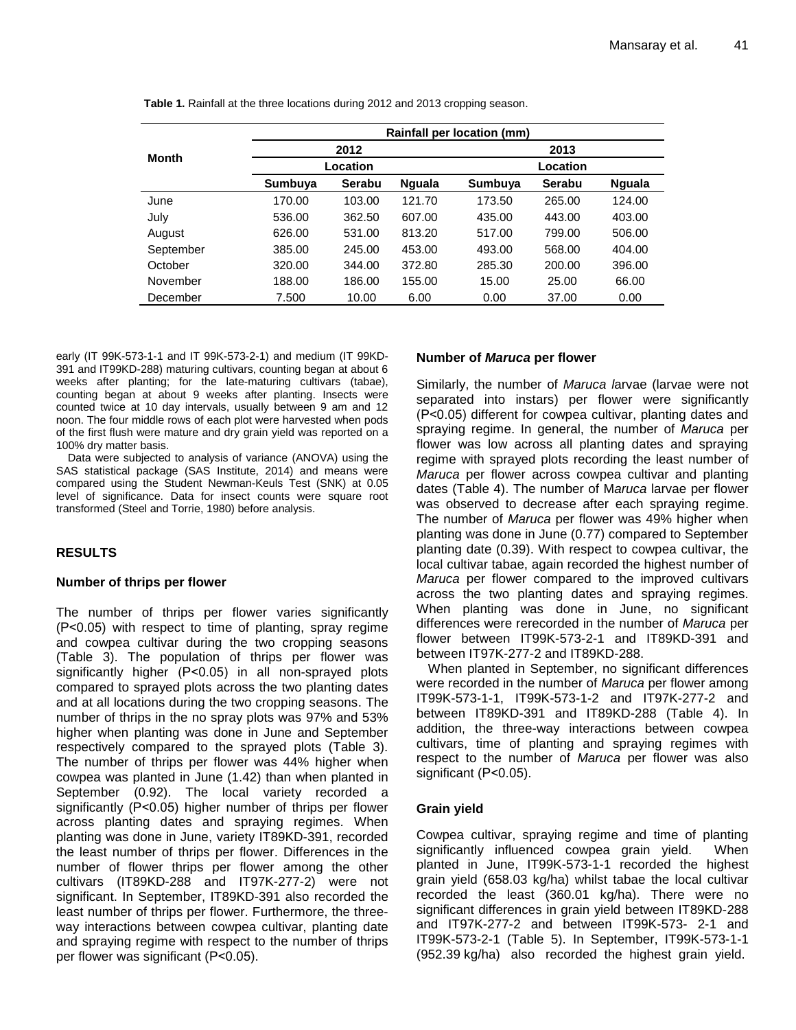|              | Rainfall per location (mm) |        |               |          |        |               |
|--------------|----------------------------|--------|---------------|----------|--------|---------------|
| <b>Month</b> | 2012                       |        |               | 2013     |        |               |
|              | Location                   |        |               | Location |        |               |
|              | Sumbuya                    | Serabu | <b>Nguala</b> | Sumbuya  | Serabu | <b>Nguala</b> |
| June         | 170.00                     | 103.00 | 121.70        | 173.50   | 265.00 | 124.00        |
| July         | 536.00                     | 362.50 | 607.00        | 435.00   | 443.00 | 403.00        |
| August       | 626.00                     | 531.00 | 813.20        | 517.00   | 799.00 | 506.00        |
| September    | 385.00                     | 245.00 | 453.00        | 493.00   | 568.00 | 404.00        |
| October      | 320.00                     | 344.00 | 372.80        | 285.30   | 200.00 | 396.00        |
| November     | 188.00                     | 186.00 | 155.00        | 15.00    | 25.00  | 66.00         |
| December     | 7.500                      | 10.00  | 6.00          | 0.00     | 37.00  | 0.00          |

**Table 1.** Rainfall at the three locations during 2012 and 2013 cropping season.

early (IT 99K-573-1-1 and IT 99K-573-2-1) and medium (IT 99KD-391 and IT99KD-288) maturing cultivars, counting began at about 6 weeks after planting; for the late-maturing cultivars (tabae), counting began at about 9 weeks after planting. Insects were counted twice at 10 day intervals, usually between 9 am and 12 noon. The four middle rows of each plot were harvested when pods of the first flush were mature and dry grain yield was reported on a 100% dry matter basis.

Data were subjected to analysis of variance (ANOVA) using the SAS statistical package (SAS Institute, 2014) and means were compared using the Student Newman-Keuls Test (SNK) at 0.05 level of significance. Data for insect counts were square root transformed (Steel and Torrie, 1980) before analysis.

# **RESULTS**

## **Number of thrips per flower**

The number of thrips per flower varies significantly (P˂0.05) with respect to time of planting, spray regime and cowpea cultivar during the two cropping seasons (Table 3). The population of thrips per flower was significantly higher (P˂0.05) in all non-sprayed plots compared to sprayed plots across the two planting dates and at all locations during the two cropping seasons. The number of thrips in the no spray plots was 97% and 53% higher when planting was done in June and September respectively compared to the sprayed plots (Table 3). The number of thrips per flower was 44% higher when cowpea was planted in June (1.42) than when planted in September (0.92). The local variety recorded a significantly (P˂0.05) higher number of thrips per flower across planting dates and spraying regimes. When planting was done in June, variety IT89KD-391, recorded the least number of thrips per flower. Differences in the number of flower thrips per flower among the other cultivars (IT89KD-288 and IT97K-277-2) were not significant. In September, IT89KD-391 also recorded the least number of thrips per flower. Furthermore, the threeway interactions between cowpea cultivar, planting date and spraying regime with respect to the number of thrips per flower was significant (P˂0.05).

# **Number of** *Maruca* **per flower**

Similarly, the number of *Maruca l*arvae (larvae were not separated into instars) per flower were significantly (P˂0.05) different for cowpea cultivar, planting dates and spraying regime. In general, the number of *Maruca* per flower was low across all planting dates and spraying regime with sprayed plots recording the least number of *Maruca* per flower across cowpea cultivar and planting dates (Table 4). The number of M*aruca* larvae per flower was observed to decrease after each spraying regime. The number of *Maruca* per flower was 49% higher when planting was done in June (0.77) compared to September planting date (0.39). With respect to cowpea cultivar, the local cultivar tabae, again recorded the highest number of *Maruca* per flower compared to the improved cultivars across the two planting dates and spraying regimes. When planting was done in June, no significant differences were rerecorded in the number of *Maruca* per flower between IT99K-573-2-1 and IT89KD-391 and between IT97K-277-2 and IT89KD-288.

When planted in September, no significant differences were recorded in the number of *Maruca* per flower among IT99K-573-1-1, IT99K-573-1-2 and IT97K-277-2 and between IT89KD-391 and IT89KD-288 (Table 4). In addition, the three-way interactions between cowpea cultivars, time of planting and spraying regimes with respect to the number of *Maruca* per flower was also significant (P˂0.05).

# **Grain yield**

Cowpea cultivar, spraying regime and time of planting significantly influenced cowpea grain yield. When planted in June, IT99K-573-1-1 recorded the highest grain yield (658.03 kg/ha) whilst tabae the local cultivar recorded the least (360.01 kg/ha). There were no significant differences in grain yield between IT89KD-288 and IT97K-277-2 and between IT99K-573- 2-1 and IT99K-573-2-1 (Table 5). In September, IT99K-573-1-1 (952.39 kg/ha) also recorded the highest grain yield.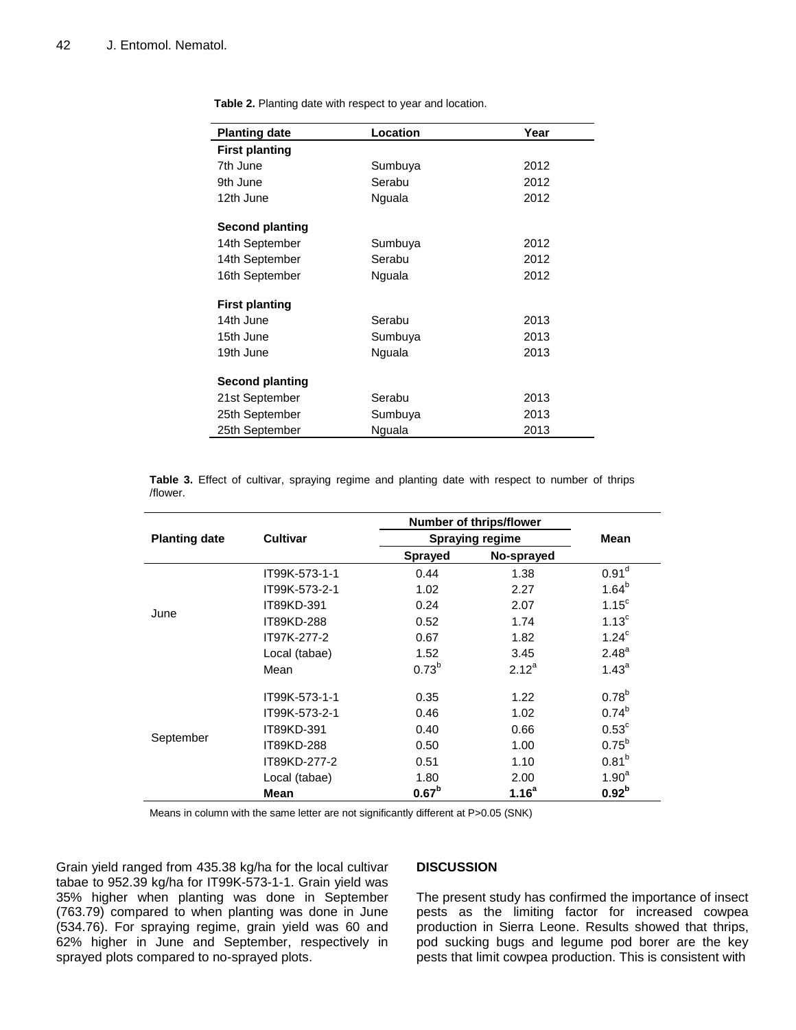| <b>Planting date</b>   | Location | Year |  |  |
|------------------------|----------|------|--|--|
| <b>First planting</b>  |          |      |  |  |
| 7th June               | Sumbuya  | 2012 |  |  |
| 9th June               | Serabu   | 2012 |  |  |
| 12th June              | Nguala   | 2012 |  |  |
| <b>Second planting</b> |          |      |  |  |
| 14th September         | Sumbuya  | 2012 |  |  |
| 14th September         | Serabu   | 2012 |  |  |
| 16th September         | Nguala   | 2012 |  |  |
| <b>First planting</b>  |          |      |  |  |
| 14th June              | Serabu   | 2013 |  |  |
| 15th June              | Sumbuya  | 2013 |  |  |
| 19th June              | Nguala   | 2013 |  |  |
| <b>Second planting</b> |          |      |  |  |
| 21st September         | Serabu   | 2013 |  |  |
| 25th September         | Sumbuya  | 2013 |  |  |
| 25th September         | Nguala   | 2013 |  |  |

**Table 2.** Planting date with respect to year and location.

**Table 3.** Effect of cultivar, spraying regime and planting date with respect to number of thrips /flower.

|                      |                     | <b>Number of thrips/flower</b> | <b>Mean</b>       |                   |  |
|----------------------|---------------------|--------------------------------|-------------------|-------------------|--|
| <b>Planting date</b> | <b>Cultivar</b>     | <b>Spraying regime</b>         |                   |                   |  |
|                      | <b>Sprayed</b>      |                                | No-sprayed        |                   |  |
|                      | IT99K-573-1-1       | 0.44                           | 1.38              | 0.91 <sup>d</sup> |  |
|                      | IT99K-573-2-1       | 1.02                           | 2.27              | $1.64^{b}$        |  |
|                      | IT89KD-391          | 0.24                           | 2.07              | 1.15 <sup>c</sup> |  |
| June                 | IT89KD-288          | 0.52                           | 1.74              | 1.13 <sup>c</sup> |  |
|                      | IT97K-277-2<br>0.67 |                                | 1.82              | 1.24 <sup>c</sup> |  |
|                      | Local (tabae)       | 1.52                           | 3.45              | 2.48 <sup>a</sup> |  |
|                      | Mean                | $0.73^{b}$                     | $2.12^{a}$        | $1.43^{a}$        |  |
|                      | IT99K-573-1-1       | 0.35                           | 1.22              | $0.78^{b}$        |  |
| September            | IT99K-573-2-1       | 0.46                           | 1.02              | $0.74^{b}$        |  |
|                      | IT89KD-391          | 0.40                           | 0.66              | $0.53^{\circ}$    |  |
|                      | IT89KD-288          | 0.50                           | 1.00              | $0.75^{b}$        |  |
|                      | IT89KD-277-2        | 0.51                           | 1.10              | $0.81^{b}$        |  |
|                      | Local (tabae)       | 1.80                           | 2.00              | $1.90^a$          |  |
|                      | <b>Mean</b>         | 0.67 <sup>b</sup>              | 1.16 <sup>a</sup> | 0.92 <sup>b</sup> |  |

Means in column with the same letter are not significantly different at P>0.05 (SNK)

Grain yield ranged from 435.38 kg/ha for the local cultivar tabae to 952.39 kg/ha for IT99K-573-1-1. Grain yield was 35% higher when planting was done in September (763.79) compared to when planting was done in June (534.76). For spraying regime, grain yield was 60 and 62% higher in June and September, respectively in sprayed plots compared to no-sprayed plots.

## **DISCUSSION**

The present study has confirmed the importance of insect pests as the limiting factor for increased cowpea production in Sierra Leone. Results showed that thrips, pod sucking bugs and legume pod borer are the key pests that limit cowpea production. This is consistent with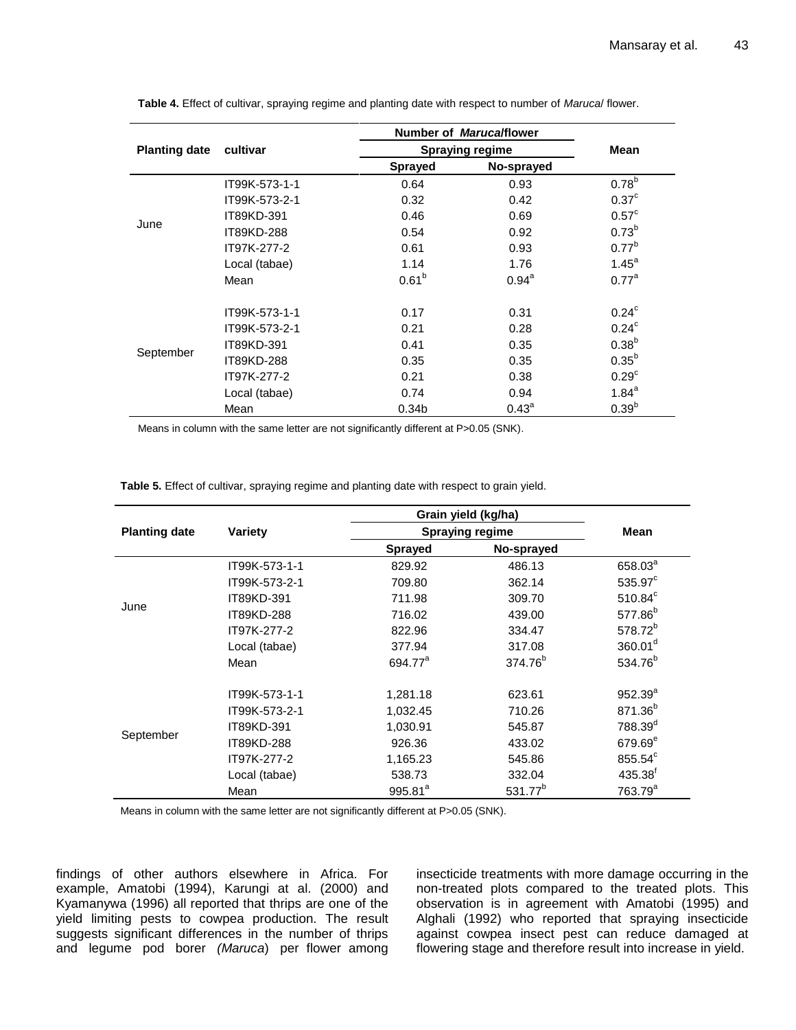|                      | cultivar      | Number of Maruca/flower | <b>Mean</b>       |                   |
|----------------------|---------------|-------------------------|-------------------|-------------------|
| <b>Planting date</b> |               | <b>Spraying regime</b>  |                   |                   |
|                      |               | <b>Sprayed</b>          | No-sprayed        |                   |
|                      | IT99K-573-1-1 | 0.64                    | 0.93              | 0.78 <sup>b</sup> |
|                      | IT99K-573-2-1 | 0.32                    | 0.42              | 0.37 <sup>c</sup> |
|                      | IT89KD-391    | 0.46                    | 0.69              | $0.57^{\circ}$    |
| June                 | IT89KD-288    | 0.54                    | 0.92              | $0.73^{b}$        |
|                      | IT97K-277-2   | 0.61                    | 0.93              | $0.77^{b}$        |
|                      | Local (tabae) | 1.14                    | 1.76              | 1.45 <sup>a</sup> |
|                      | Mean          | $0.61^{b}$              | $0.94^{\circ}$    | 0.77 <sup>a</sup> |
| September            | IT99K-573-1-1 | 0.17                    | 0.31              | 0.24 <sup>c</sup> |
|                      | IT99K-573-2-1 | 0.21                    | 0.28              | 0.24 <sup>c</sup> |
|                      | IT89KD-391    | 0.41                    | 0.35              | $0.38^{b}$        |
|                      | IT89KD-288    | 0.35                    | 0.35              | $0.35^{b}$        |
|                      | IT97K-277-2   | 0.21                    | 0.38              | 0.29 <sup>c</sup> |
|                      | Local (tabae) | 0.74                    | 0.94              | $1.84^a$          |
|                      | Mean          | 0.34 <sub>b</sub>       | 0.43 <sup>a</sup> | $0.39^{b}$        |

**Table 4.** Effect of cultivar, spraying regime and planting date with respect to number of *Maruca*/ flower.

Means in column with the same letter are not significantly different at P>0.05 (SNK).

**Table 5.** Effect of cultivar, spraying regime and planting date with respect to grain yield.

|                      |               | Grain yield (kg/ha)          | <b>Mean</b>         |                     |  |
|----------------------|---------------|------------------------------|---------------------|---------------------|--|
| <b>Planting date</b> | Variety       | <b>Spraying regime</b>       |                     |                     |  |
|                      |               | No-sprayed<br><b>Sprayed</b> |                     |                     |  |
|                      | IT99K-573-1-1 | 829.92                       | 486.13              | 658.03 <sup>ª</sup> |  |
|                      | IT99K-573-2-1 | 709.80                       | 362.14              | 535.97 <sup>c</sup> |  |
| June                 | IT89KD-391    | 711.98                       | 309.70              | $510.84^c$          |  |
|                      | IT89KD-288    | 716.02                       | 439.00              | 577.86 <sup>b</sup> |  |
|                      | IT97K-277-2   | 822.96                       | 334.47              | 578.72 <sup>b</sup> |  |
|                      | Local (tabae) | 377.94                       | 317.08              | 360.01 <sup>d</sup> |  |
|                      | Mean          | 694.77 <sup>a</sup>          | 374.76 <sup>b</sup> | 534.76 <sup>b</sup> |  |
| September            | IT99K-573-1-1 | 1,281.18                     | 623.61              | $952.39^{a}$        |  |
|                      | IT99K-573-2-1 | 1,032.45                     | 710.26              | 871.36 <sup>b</sup> |  |
|                      | IT89KD-391    | 1,030.91                     | 545.87              | 788.39 <sup>d</sup> |  |
|                      | IT89KD-288    | 926.36                       | 433.02              | 679.69 <sup>e</sup> |  |
|                      | IT97K-277-2   | 1,165.23                     | 545.86              | 855.54 <sup>c</sup> |  |
|                      | Local (tabae) | 538.73                       | 332.04              | 435.38 <sup>f</sup> |  |
|                      | Mean          | $995.81^a$                   | 531.77 <sup>b</sup> | 763.79 <sup>a</sup> |  |

Means in column with the same letter are not significantly different at P>0.05 (SNK).

findings of other authors elsewhere in Africa. For example, Amatobi (1994), Karungi at al. (2000) and Kyamanywa (1996) all reported that thrips are one of the yield limiting pests to cowpea production. The result suggests significant differences in the number of thrips and legume pod borer *(Maruca*) per flower among

insecticide treatments with more damage occurring in the non-treated plots compared to the treated plots. This observation is in agreement with Amatobi (1995) and Alghali (1992) who reported that spraying insecticide against cowpea insect pest can reduce damaged at flowering stage and therefore result into increase in yield.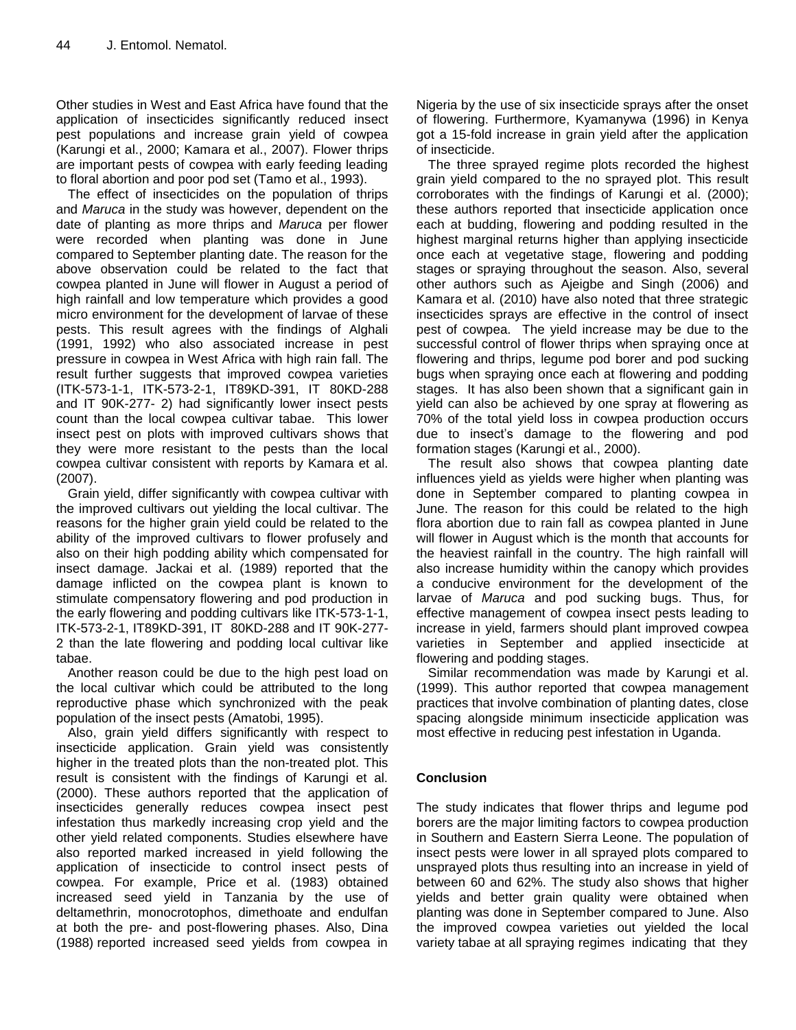Other studies in West and East Africa have found that the application of insecticides significantly reduced insect pest populations and increase grain yield of cowpea (Karungi et al., 2000; Kamara et al., 2007). Flower thrips are important pests of cowpea with early feeding leading to floral abortion and poor pod set (Tamo et al., 1993).

The effect of insecticides on the population of thrips and *Maruca* in the study was however, dependent on the date of planting as more thrips and *Maruca* per flower were recorded when planting was done in June compared to September planting date. The reason for the above observation could be related to the fact that cowpea planted in June will flower in August a period of high rainfall and low temperature which provides a good micro environment for the development of larvae of these pests. This result agrees with the findings of Alghali (1991, 1992) who also associated increase in pest pressure in cowpea in West Africa with high rain fall. The result further suggests that improved cowpea varieties (ITK-573-1-1, ITK-573-2-1, IT89KD-391, IT 80KD-288 and IT 90K-277- 2) had significantly lower insect pests count than the local cowpea cultivar tabae. This lower insect pest on plots with improved cultivars shows that they were more resistant to the pests than the local cowpea cultivar consistent with reports by Kamara et al. (2007).

Grain yield, differ significantly with cowpea cultivar with the improved cultivars out yielding the local cultivar. The reasons for the higher grain yield could be related to the ability of the improved cultivars to flower profusely and also on their high podding ability which compensated for insect damage. Jackai et al. (1989) reported that the damage inflicted on the cowpea plant is known to stimulate compensatory flowering and pod production in the early flowering and podding cultivars like ITK-573-1-1, ITK-573-2-1, IT89KD-391, IT 80KD-288 and IT 90K-277- 2 than the late flowering and podding local cultivar like tabae.

Another reason could be due to the high pest load on the local cultivar which could be attributed to the long reproductive phase which synchronized with the peak population of the insect pests (Amatobi, 1995).

Also, grain yield differs significantly with respect to insecticide application. Grain yield was consistently higher in the treated plots than the non-treated plot. This result is consistent with the findings of Karungi et al. (2000). These authors reported that the application of insecticides generally reduces cowpea insect pest infestation thus markedly increasing crop yield and the other yield related components. Studies elsewhere have also reported marked increased in yield following the application of insecticide to control insect pests of cowpea. For example, Price et al. (1983) obtained increased seed yield in Tanzania by the use of deltamethrin, monocrotophos, dimethoate and endulfan at both the pre- and post-flowering phases. Also, Dina (1988) reported increased seed yields from cowpea in

Nigeria by the use of six insecticide sprays after the onset of flowering. Furthermore, Kyamanywa (1996) in Kenya got a 15-fold increase in grain yield after the application of insecticide.

The three sprayed regime plots recorded the highest grain yield compared to the no sprayed plot. This result corroborates with the findings of Karungi et al. (2000); these authors reported that insecticide application once each at budding, flowering and podding resulted in the highest marginal returns higher than applying insecticide once each at vegetative stage, flowering and podding stages or spraying throughout the season. Also, several other authors such as Ajeigbe and Singh (2006) and Kamara et al. (2010) have also noted that three strategic insecticides sprays are effective in the control of insect pest of cowpea. The yield increase may be due to the successful control of flower thrips when spraying once at flowering and thrips, legume pod borer and pod sucking bugs when spraying once each at flowering and podding stages. It has also been shown that a significant gain in yield can also be achieved by one spray at flowering as 70% of the total yield loss in cowpea production occurs due to insect's damage to the flowering and pod formation stages (Karungi et al., 2000).

The result also shows that cowpea planting date influences yield as yields were higher when planting was done in September compared to planting cowpea in June. The reason for this could be related to the high flora abortion due to rain fall as cowpea planted in June will flower in August which is the month that accounts for the heaviest rainfall in the country. The high rainfall will also increase humidity within the canopy which provides a conducive environment for the development of the larvae of *Maruca* and pod sucking bugs. Thus, for effective management of cowpea insect pests leading to increase in yield, farmers should plant improved cowpea varieties in September and applied insecticide at flowering and podding stages.

Similar recommendation was made by Karungi et al. (1999). This author reported that cowpea management practices that involve combination of planting dates, close spacing alongside minimum insecticide application was most effective in reducing pest infestation in Uganda.

# **Conclusion**

The study indicates that flower thrips and legume pod borers are the major limiting factors to cowpea production in Southern and Eastern Sierra Leone. The population of insect pests were lower in all sprayed plots compared to unsprayed plots thus resulting into an increase in yield of between 60 and 62%. The study also shows that higher yields and better grain quality were obtained when planting was done in September compared to June. Also the improved cowpea varieties out yielded the local variety tabae at all spraying regimes indicating that they